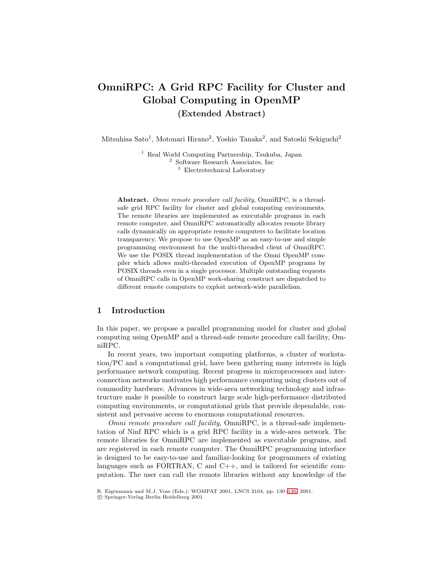# **OmniRPC: A Grid RPC Facility for Cluster and Global Computing in OpenMP (Extended Abstract)**

Mitsuhisa Sato<sup>1</sup>, Motonari Hirano<sup>2</sup>, Yoshio Tanaka<sup>2</sup>, and Satoshi Sekiguchi<sup>2</sup>

<sup>1</sup> Real World Computing Partnership, Tsukuba, Japan <sup>2</sup> Software Research Associates, Inc <sup>3</sup> Electrotechnical Laboratory

**Abstract.** Omni remote procedure call facility, OmniRPC, is a threadsafe grid RPC facility for cluster and global computing environments. The remote libraries are implemented as executable programs in each remote computer, and OmniRPC automatically allocates remote library calls dynamically on appropriate remote computers to facilitate location transparency. We propose to use OpenMP as an easy-to-use and simple programming environment for the multi-threaded client of OmniRPC. We use the POSIX thread implementation of the Omni OpenMP compiler which allows multi-threaded execution of OpenMP programs by POSIX threads even in a single processor. Multiple outstanding requests of OmniRPC calls in OpenMP work-sharing construct are dispatched to different remote computers to exploit network-wide parallelism.

### **1 Introduction**

In this paper, we propose a parallel programming model for cluster and global computing using OpenMP and a thread-safe remote procedure call facility, OmniRPC.

In recent years, two important computing platforms, a cluster of workstation/PC and a computational grid, have been gathering many interests in high performance network computing. Recent progress in microprocessors and interconnection networks motivates high performance computing using clusters out of commodity hardware. Advances in wide-area networking technology and infrastructure make it possible to construct large scale high-performance distributed computing environments, or computational grids that provide dependable, consistent and pervasive access to enormous computational resources.

Omni remote procedure call facility, OmniRPC, is a thread-safe implementation of Ninf RPC which is a grid RPC facility in a wide-area network. The remote libraries for OmniRPC are implemented as executable programs, and are registered in each remote computer. The OmniRPC programming interface is designed to be easy-to-use and familiar-looking for programmers of existing languages such as FORTRAN, C and  $C_{++}$ , and is tailored for scientific computation. The user can call the remote libraries without any knowledge of the

R. Eigenmann and M.J. Voss (Eds.): WOMPAT 2001, LNCS 2104, pp. 130[–136,](#page-6-0) 2001.

c Springer-Verlag Berlin Heidelberg 2001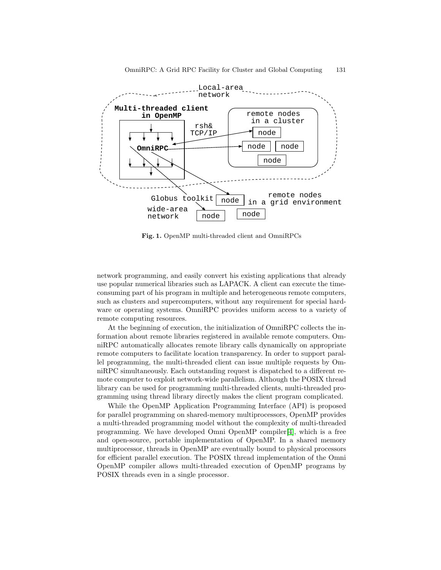<span id="page-1-0"></span>

**Fig. 1.** OpenMP multi-threaded client and OmniRPCs

network programming, and easily convert his existing applications that already use popular numerical libraries such as LAPACK. A client can execute the timeconsuming part of his program in multiple and heterogeneous remote computers, such as clusters and supercomputers, without any requirement for special hardware or operating systems. OmniRPC provides uniform access to a variety of remote computing resources.

At the beginning of execution, the initialization of OmniRPC collects the information about remote libraries registered in available remote computers. OmniRPC automatically allocates remote library calls dynamically on appropriate remote computers to facilitate location transparency. In order to support parallel programming, the multi-threaded client can issue multiple requests by OmniRPC simultaneously. Each outstanding request is dispatched to a different remote computer to exploit network-wide parallelism. Although the POSIX thread library can be used for programming multi-threaded clients, multi-threaded programming using thread library directly makes the client program complicated.

While the OpenMP Application Programming Interface (API) is proposed for parallel programming on shared-memory multiprocessors, OpenMP provides a multi-threaded programming model without the complexity of multi-threaded programming. We have developed Omni OpenMP compiler[\[4\]](#page-6-0), which is a free and open-source, portable implementation of OpenMP. In a shared memory multiprocessor, threads in OpenMP are eventually bound to physical processors for efficient parallel execution. The POSIX thread implementation of the Omni OpenMP compiler allows multi-threaded execution of OpenMP programs by POSIX threads even in a single processor.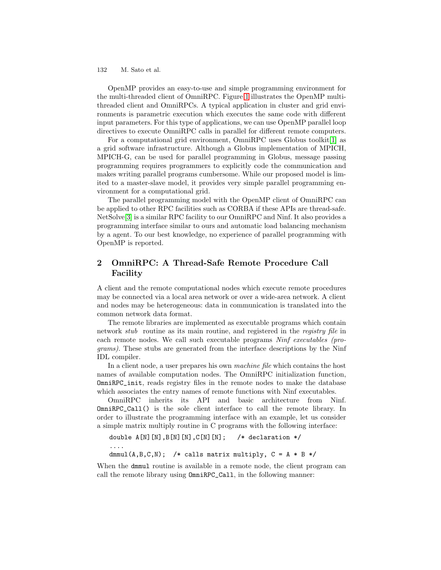OpenMP provides an easy-to-use and simple programming environment for the multi-threaded client of OmniRPC. Figure [1](#page-1-0) illustrates the OpenMP multithreaded client and OmniRPCs. A typical application in cluster and grid environments is parametric execution which executes the same code with different input parameters. For this type of applications, we can use OpenMP parallel loop directives to execute OmniRPC calls in parallel for different remote computers.

For a computational grid environment, OmniRPC uses Globus toolkit<sup>[\[1\]](#page-6-0)</sup> as a grid software infrastructure. Although a Globus implementation of MPICH, MPICH-G, can be used for parallel programming in Globus, message passing programming requires programmers to explicitly code the communication and makes writing parallel programs cumbersome. While our proposed model is limited to a master-slave model, it provides very simple parallel programming environment for a computational grid.

The parallel programming model with the OpenMP client of OmniRPC can be applied to other RPC facilities such as CORBA if these APIs are thread-safe. NetSolve[\[3\]](#page-6-0) is a similar RPC facility to our OmniRPC and Ninf. It also provides a programming interface similar to ours and automatic load balancing mechanism by a agent. To our best knowledge, no experience of parallel programming with OpenMP is reported.

## **2 OmniRPC: A Thread-Safe Remote Procedure Call Facility**

A client and the remote computational nodes which execute remote procedures may be connected via a local area network or over a wide-area network. A client and nodes may be heterogeneous: data in communication is translated into the common network data format.

The remote libraries are implemented as executable programs which contain network *stub* routine as its main routine, and registered in the *registry file* in each remote nodes. We call such executable programs Ninf executables (programs). These stubs are generated from the interface descriptions by the Ninf IDL compiler.

In a client node, a user prepares his own machine file which contains the host names of available computation nodes. The OmniRPC initialization function, OmniRPC\_init, reads registry files in the remote nodes to make the database which associates the entry names of remote functions with Ninf executables.

OmniRPC inherits its API and basic architecture from Ninf. OmniRPC\_Call() is the sole client interface to call the remote library. In order to illustrate the programming interface with an example, let us consider a simple matrix multiply routine in C programs with the following interface:

```
double A[N][N], B[N][N], C[N][N]; /* declaration */
....
dmmul(A,B,C,N); /* calls matrix multiply, C = A * B */
```
When the dmmul routine is available in a remote node, the client program can call the remote library using OmniRPC\_Call, in the following manner: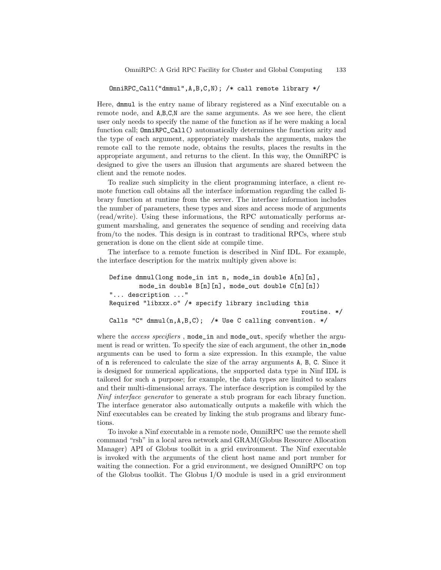```
OmniRPC_Call("dmmul",A,B,C,N); /* call remote library */
```
Here, dmmul is the entry name of library registered as a Ninf executable on a remote node, and A,B,C,N are the same arguments. As we see here, the client user only needs to specify the name of the function as if he were making a local function call; OmniRPC\_Call() automatically determines the function arity and the type of each argument, appropriately marshals the arguments, makes the remote call to the remote node, obtains the results, places the results in the appropriate argument, and returns to the client. In this way, the OmniRPC is designed to give the users an illusion that arguments are shared between the client and the remote nodes.

To realize such simplicity in the client programming interface, a client remote function call obtains all the interface information regarding the called library function at runtime from the server. The interface information includes the number of parameters, these types and sizes and access mode of arguments (read/write). Using these informations, the RPC automatically performs argument marshaling, and generates the sequence of sending and receiving data from/to the nodes. This design is in contrast to traditional RPCs, where stub generation is done on the client side at compile time.

The interface to a remote function is described in Ninf IDL. For example, the interface description for the matrix multiply given above is:

```
Define dmmul(long mode_in int n, mode_in double A[n][n],
        mode_in double B[n][n], mode_out double C[n][n])
"... description ..."
Required "libxxx.o" /* specify library including this
                                                    routine. */
Calls "C" dmmul(n, A, B, C); /* Use C calling convention. */
```
where the access specifiers, mode\_in and mode\_out, specify whether the argument is read or written. To specify the size of each argument, the other in\_mode arguments can be used to form a size expression. In this example, the value of n is referenced to calculate the size of the array arguments A, B, C. Since it is designed for numerical applications, the supported data type in Ninf IDL is tailored for such a purpose; for example, the data types are limited to scalars and their multi-dimensional arrays. The interface description is compiled by the Ninf interface generator to generate a stub program for each library function. The interface generator also automatically outputs a makefile with which the Ninf executables can be created by linking the stub programs and library functions.

To invoke a Ninf executable in a remote node, OmniRPC use the remote shell command "rsh" in a local area network and GRAM(Globus Resource Allocation Manager) API of Globus toolkit in a grid environment. The Ninf executable is invoked with the arguments of the client host name and port number for waiting the connection. For a grid environment, we designed OmniRPC on top of the Globus toolkit. The Globus I/O module is used in a grid environment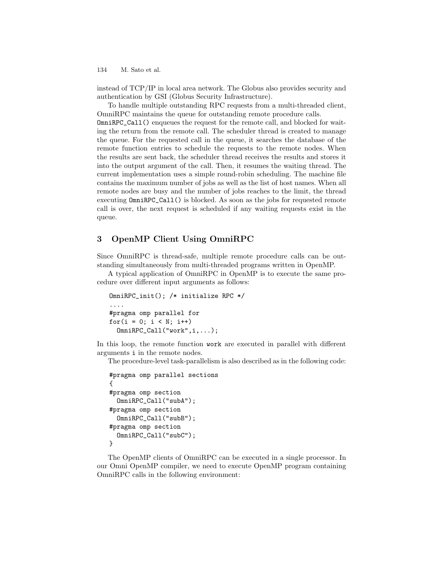instead of TCP/IP in local area network. The Globus also provides security and authentication by GSI (Globus Security Infrastructure).

To handle multiple outstanding RPC requests from a multi-threaded client, OmniRPC maintains the queue for outstanding remote procedure calls.

OmniRPC\_Call() enqueues the request for the remote call, and blocked for waiting the return from the remote call. The scheduler thread is created to manage the queue. For the requested call in the queue, it searches the database of the remote function entries to schedule the requests to the remote nodes. When the results are sent back, the scheduler thread receives the results and stores it into the output argument of the call. Then, it resumes the waiting thread. The current implementation uses a simple round-robin scheduling. The machine file contains the maximum number of jobs as well as the list of host names. When all remote nodes are busy and the number of jobs reaches to the limit, the thread executing OmniRPC\_Call() is blocked. As soon as the jobs for requested remote call is over, the next request is scheduled if any waiting requests exist in the queue.

# **3 OpenMP Client Using OmniRPC**

Since OmniRPC is thread-safe, multiple remote procedure calls can be outstanding simultaneously from multi-threaded programs written in OpenMP.

A typical application of OmniRPC in OpenMP is to execute the same procedure over different input arguments as follows:

```
OmniRPC_init(); /* initialize RPC */
....
#pragma omp parallel for
for(i = 0; i < N; i++)OmniRPC_Call("work",i,...);
```
In this loop, the remote function work are executed in parallel with different arguments i in the remote nodes.

The procedure-level task-parallelism is also described as in the following code:

```
#pragma omp parallel sections
{
#pragma omp section
  OmniRPC_Call("subA");
#pragma omp section
  OmniRPC_Call("subB");
#pragma omp section
  OmniRPC_Call("subC");
}
```
The OpenMP clients of OmniRPC can be executed in a single processor. In our Omni OpenMP compiler, we need to execute OpenMP program containing OmniRPC calls in the following environment: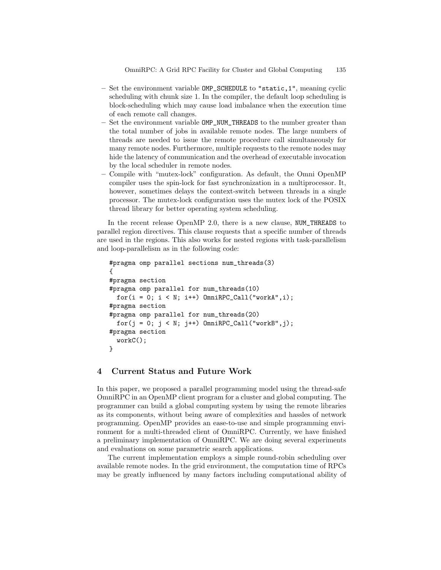- **–** Set the environment variable OMP\_SCHEDULE to "static,1", meaning cyclic scheduling with chunk size 1. In the compiler, the default loop scheduling is block-scheduling which may cause load imbalance when the execution time of each remote call changes.
- **–** Set the environment variable OMP\_NUM\_THREADS to the number greater than the total number of jobs in available remote nodes. The large numbers of threads are needed to issue the remote procedure call simultaneously for many remote nodes. Furthermore, multiple requests to the remote nodes may hide the latency of communication and the overhead of executable invocation by the local scheduler in remote nodes.
- **–** Compile with "mutex-lock" configuration. As default, the Omni OpenMP compiler uses the spin-lock for fast synchronization in a multiprocessor. It, however, sometimes delays the context-switch between threads in a single processor. The mutex-lock configuration uses the mutex lock of the POSIX thread library for better operating system scheduling.

In the recent release OpenMP 2.0, there is a new clause, NUM\_THREADS to parallel region directives. This clause requests that a specific number of threads are used in the regions. This also works for nested regions with task-parallelism and loop-parallelism as in the following code:

```
#pragma omp parallel sections num_threads(3)
{
#pragma section
#pragma omp parallel for num_threads(10)
  for(i = 0; i \le N; i++) OmniRPC_Call('workA'', i);#pragma section
#pragma omp parallel for num_threads(20)
  for(j = 0; j < N; j++) OmniRPC_Call("workB",j);
#pragma section
  workC();
}
```
#### **4 Current Status and Future Work**

In this paper, we proposed a parallel programming model using the thread-safe OmniRPC in an OpenMP client program for a cluster and global computing. The programmer can build a global computing system by using the remote libraries as its components, without being aware of complexities and hassles of network programming. OpenMP provides an ease-to-use and simple programming environment for a multi-threaded client of OmniRPC. Currently, we have finished a preliminary implementation of OmniRPC. We are doing several experiments and evaluations on some parametric search applications.

The current implementation employs a simple round-robin scheduling over available remote nodes. In the grid environment, the computation time of RPCs may be greatly influenced by many factors including computational ability of